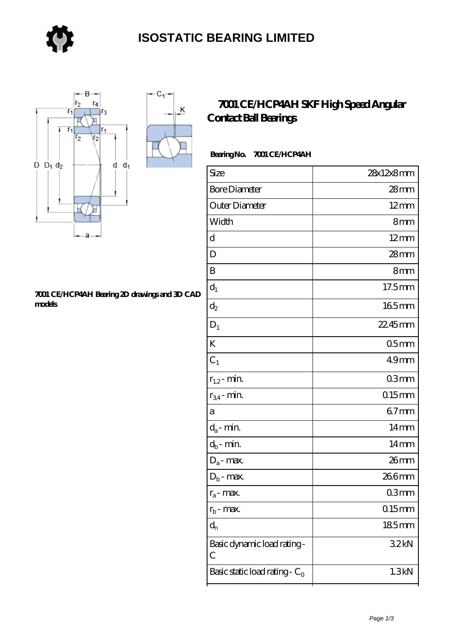

 $-C_1$ 

 $\overline{\mathsf{K}}$ 



#### **[7001 CE/HCP4AH Bearing 2D drawings and 3D CAD](https://store-isabelmarant.com/pic-931511.html) [models](https://store-isabelmarant.com/pic-931511.html)**

### **[7001 CE/HCP4AH SKF High Speed Angular](https://store-isabelmarant.com/skf-bearings/7001-ce-hcp4ah.html) [Contact Ball Bearings](https://store-isabelmarant.com/skf-bearings/7001-ce-hcp4ah.html)**

### **Bearing No. 7001 CE/HCP4AH**

| Size                                       | 28x12x8mm        |
|--------------------------------------------|------------------|
| <b>Bore Diameter</b>                       | $28$ mm          |
| Outer Diameter                             | $12 \text{mm}$   |
| Width                                      | 8mm              |
| d                                          | $12 \text{mm}$   |
| D                                          | 28mm             |
| B                                          | 8mm              |
| $d_1$                                      | 17.5mm           |
| $d_2$                                      | 165mm            |
| $D_1$                                      | 22.45mm          |
| K                                          | 05 <sub>mm</sub> |
| $C_1$                                      | 49 <sub>mm</sub> |
| $r_{1,2}$ - min.                           | 03mm             |
| $r_{34}$ - min.                            | $015$ mm         |
| a                                          | $67$ mm          |
| $d_a$ - min.                               | $14 \text{mm}$   |
| $d_b$ - min.                               | $14 \text{mm}$   |
| $D_a$ - max.                               | 26mm             |
| $D_b$ - max.                               | 266mm            |
| $r_a$ - max.                               | 03mm             |
| $r_{b}$ - max.                             | $015$ mm         |
| $d_n$                                      | 185mm            |
| Basic dynamic load rating-<br>$\mathcal C$ | 32kN             |
| Basic static load rating - $C_0$           | 1.3kN            |
|                                            |                  |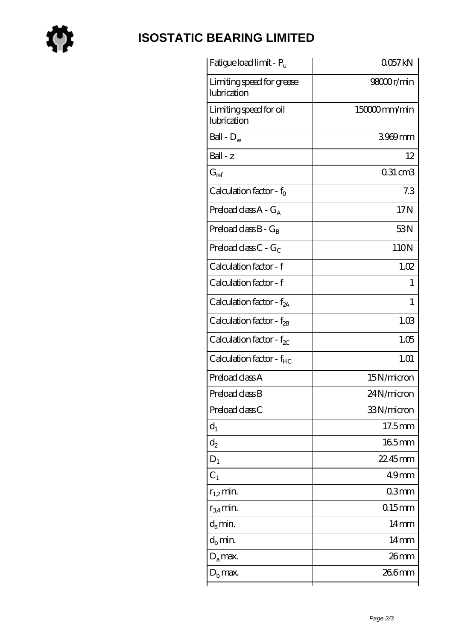

# **[ISOSTATIC BEARING LIMITED](https://store-isabelmarant.com)**

| Fatigue load limit - Pu                  | 0057kN           |
|------------------------------------------|------------------|
| Limiting speed for grease<br>lubrication | 98000r/min       |
| Limiting speed for oil<br>lubrication    | 150000mm/min     |
| Ball - $D_w$                             | 3969mm           |
| Ball - z                                 | 12               |
| $G_{\mathrm{ref}}$                       | $031 \text{ cm}$ |
| Calculation factor - $f_0$               | 7.3              |
| Preload class $A - G_A$                  | 17N              |
| Preload class $B - G_B$                  | 53N              |
| Preload class $C$ - $G_C$                | 110N             |
| Calculation factor - f                   | 1.02             |
| Calculation factor - f                   | 1                |
| Calculation factor - $f_{2A}$            | 1                |
| Calculation factor - f <sub>2B</sub>     | 1.03             |
| Calculation factor - $f_{\chi}$          | 1.05             |
| Calculation factor - $f_{HC}$            | 1.01             |
| Preload class A                          | 15N/micron       |
| Preload class B                          | 24N/micron       |
| Preload class C                          | 33N/micron       |
| $d_1$                                    | 17.5mm           |
| $\mathrm{d}_2$                           | 165mm            |
| $D_1$                                    | $2245$ mm        |
| $C_1$                                    | 49 <sub>mm</sub> |
| $r_{1,2}$ min.                           | 03 <sub>mm</sub> |
| $r_{34}$ min.                            | $015$ mm         |
| $d_a$ min.                               | 14 <sub>mm</sub> |
|                                          | $14 \text{mm}$   |
| $d_h$ min.                               |                  |
| $D_a$ max.                               | $26 \text{mm}$   |